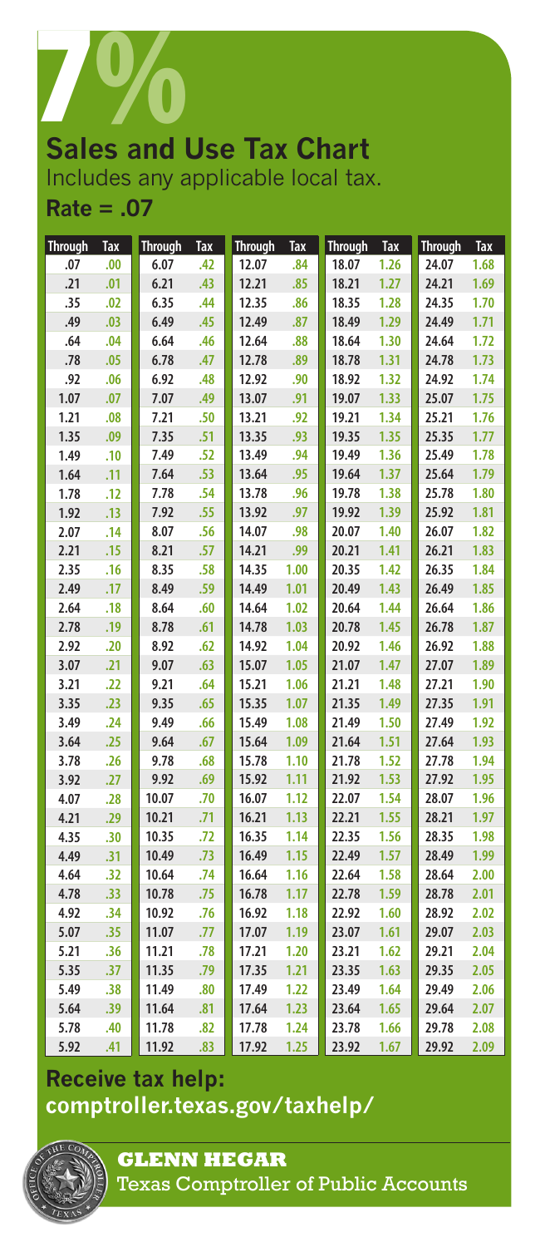

# Includes any applicable local tax. **Rate = .07**

| <b>Through</b> | <b>Tax</b> | <b>Through</b> | <b>Tax</b> | <b>Through</b> | <b>Tax</b> | <b>Through</b> | Tax  | <b>Through</b> | <b>Tax</b> |
|----------------|------------|----------------|------------|----------------|------------|----------------|------|----------------|------------|
| .07            | .00        | 6.07           | .42        | 12.07          | .84        | 18.07          | 1.26 | 24.07          | 1.68       |
| .21            | .01        | 6.21           | .43        | 12.21          | .85        | 18.21          | 1.27 | 24.21          | 1.69       |
| .35            | .02        | 6.35           | .44        | 12.35          | .86        | 18.35          | 1.28 | 24.35          | 1.70       |
| .49            | .03        | 6.49           | .45        | 12.49          | .87        | 18.49          | 1.29 | 24.49          | 1.71       |
| .64            | .04        | 6.64           | .46        | 12.64          | .88        | 18.64          | 1.30 | 24.64          | 1.72       |
| .78            | .05        | 6.78           | .47        | 12.78          | .89        | 18.78          | 1.31 | 24.78          | 1.73       |
| .92            | .06        | 6.92           | .48        | 12.92          | .90        | 18.92          | 1.32 | 24.92          | 1.74       |
| 1.07           | .07        | 7.07           | .49        | 13.07          | .91        | 19.07          | 1.33 | 25.07          | 1.75       |
| 1.21           | .08        | 7.21           | .50        | 13.21          | .92        | 19.21          | 1.34 | 25.21          | 1.76       |
| 1.35           | .09        | 7.35           | .51        | 13.35          | .93        | 19.35          | 1.35 | 25.35          | 1.77       |
| 1.49           | .10        | 7.49           | .52        | 13.49          | .94        | 19.49          | 1.36 | 25.49          | 1.78       |
| 1.64           | .11        | 7.64           | .53        | 13.64          | .95        | 19.64          | 1.37 | 25.64          | 1.79       |
| 1.78           | .12        | 7.78           | .54        | 13.78          | .96        | 19.78          | 1.38 | 25.78          | 1.80       |
| 1.92           | .13        | 7.92           | .55        | 13.92          | .97        | 19.92          | 1.39 | 25.92          | 1.81       |
| 2.07           | .14        | 8.07           | .56        | 14.07          | .98        | 20.07          | 1.40 | 26.07          | 1.82       |
| 2.21           | .15        | 8.21           | .57        | 14.21          | .99        | 20.21          | 1.41 | 26.21          | 1.83       |
| 2.35           | .16        | 8.35           | .58        | 14.35          | 1.00       | 20.35          | 1.42 | 26.35          | 1.84       |
| 2.49           | .17        | 8.49           | .59        | 14.49          | 1.01       | 20.49          | 1.43 | 26.49          | 1.85       |
| 2.64           | .18        | 8.64           | .60        | 14.64          | 1.02       | 20.64          | 1.44 | 26.64          | 1.86       |
| 2.78           | .19        | 8.78           | .61        | 14.78          | 1.03       | 20.78          | 1.45 | 26.78          | 1.87       |
| 2.92           | .20        | 8.92           | .62        | 14.92          | 1.04       | 20.92          | 1.46 | 26.92          | 1.88       |
| 3.07           | .21        | 9.07           | .63        | 15.07          | 1.05       | 21.07          | 1.47 | 27.07          | 1.89       |
| 3.21           | .22        | 9.21           | .64        | 15.21          | 1.06       | 21.21          | 1.48 | 27.21          | 1.90       |
| 3.35           | .23        | 9.35           | .65        | 15.35          | 1.07       | 21.35          | 1.49 | 27.35          | 1.91       |
| 3.49           | .24        | 9.49           | .66        | 15.49          | 1.08       | 21.49          | 1.50 | 27.49          | 1.92       |
| 3.64           | .25        | 9.64           | .67        | 15.64          | 1.09       | 21.64          | 1.51 | 27.64          | 1.93       |
| 3.78           | .26        | 9.78           | .68        | 15.78          | 1.10       | 21.78          | 1.52 | 27.78          | 1.94       |
| 3.92           | .27        | 9.92           | .69        | 15.92          | 1.11       | 21.92          | 1.53 | 27.92          | 1.95       |
| 4.07           | .28        | 10.07          | .70        | 16.07          | 1.12       | 22.07          | 1.54 | 28.07          | 1.96       |
| 4.21           | .29        | 10.21          | .71        | 16.21          | 1.13       | 22.21          | 1.55 | 28.21          | 1.97       |
| 4.35           | .30        | 10.35          | .72        | 16.35          | 1.14       | 22.35          | 1.56 | 28.35          | 1.98       |
| 4.49           | .31        | 10.49          | .73        | 16.49          | 1.15       | 22.49          | 1.57 | 28.49          | 1.99       |
| 4.64           | .32        | 10.64          | .74        | 16.64          | 1.16       | 22.64          | 1.58 | 28.64          | 2.00       |
| 4.78           | .33        | 10.78          | .75        | 16.78          | 1.17       | 22.78          | 1.59 | 28.78          | 2.01       |
| 4.92           | .34        | 10.92          | .76        | 16.92          | 1.18       | 22.92          | 1.60 | 28.92          | 2.02       |
| 5.07           | .35        | 11.07          | .77        | 17.07          | 1.19       | 23.07          | 1.61 | 29.07          | 2.03       |
| 5.21           | .36        | 11.21          | .78        | 17.21          | 1.20       | 23.21          | 1.62 | 29.21          | 2.04       |
| 5.35           | .37        | 11.35          | .79        | 17.35          | 1.21       | 23.35          | 1.63 | 29.35          | 2.05       |
| 5.49           | .38        | 11.49          | .80        | 17.49          | 1.22       | 23.49          | 1.64 | 29.49          | 2.06       |
| 5.64           | .39        | 11.64          | .81        | 17.64          | 1.23       | 23.64          | 1.65 | 29.64          | 2.07       |
| 5.78           | .40        | 11.78          | .82        | 17.78          | 1.24       | 23.78          | 1.66 | 29.78          | 2.08       |
| 5.92           | .41        | 11.92          | .83        | 17.92          | 1.25       | 23.92          | 1.67 | 29.92          | 2.09       |

## **Receive tax help: <comptroller.texas.gov/taxhelp/>**



**GLENN HEGAR**  Texas Comptroller of Public Accounts